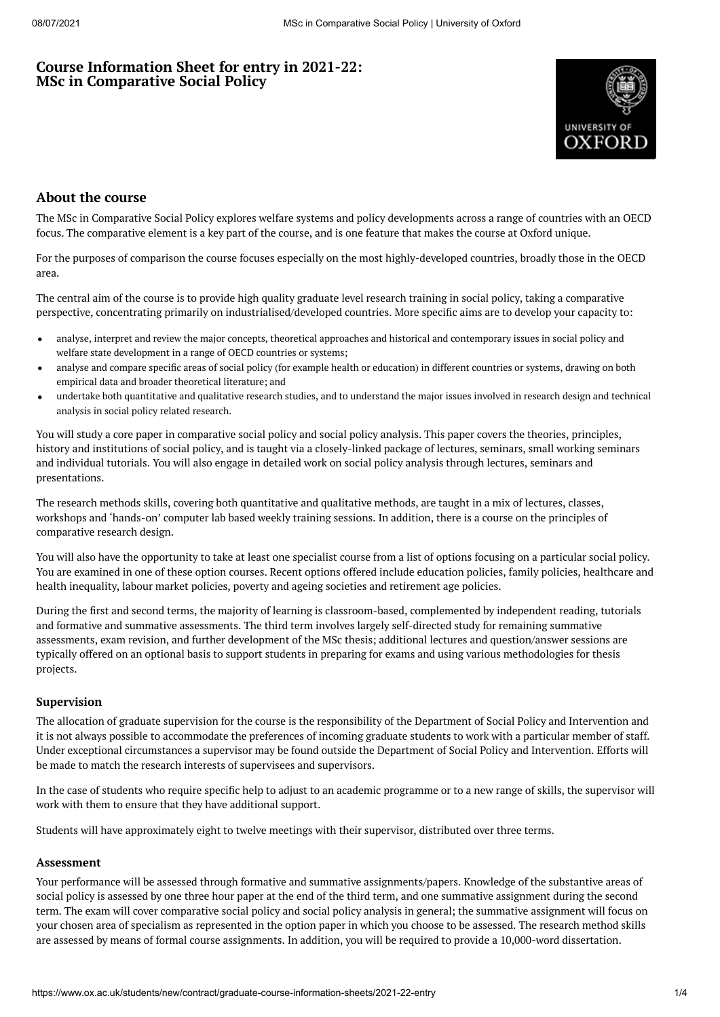# **Course Information Sheet for entry in 2021-22: MSc in Comparative Social Policy**



# **About the course**

The MSc in Comparative Social Policy explores welfare systems and policy developments across a range of countries with an OECD focus. The comparative element is a key part of the course, and is one feature that makes the course at Oxford unique.

For the purposes of comparison the course focuses especially on the most highly-developed countries, broadly those in the OECD area.

The central aim of the course is to provide high quality graduate level research training in social policy, taking a comparative perspective, concentrating primarily on industrialised/developed countries. More specific aims are to develop your capacity to:

- analyse, interpret and review the major concepts, theoretical approaches and historical and contemporary issues in social policy and welfare state development in a range of OECD countries or systems;
- analyse and compare specific areas of social policy (for example health or education) in different countries or systems, drawing on both  $\bullet$ empirical data and broader theoretical literature; and
- undertake both quantitative and qualitative research studies, and to understand the major issues involved in research design and technical analysis in social policy related research.

You will study a core paper in comparative social policy and social policy analysis. This paper covers the theories, principles, history and institutions of social policy, and is taught via a closely-linked package of lectures, seminars, small working seminars and individual tutorials. You will also engage in detailed work on social policy analysis through lectures, seminars and presentations.

The research methods skills, covering both quantitative and qualitative methods, are taught in a mix of lectures, classes, workshops and 'hands-on' computer lab based weekly training sessions. In addition, there is a course on the principles of comparative research design.

You will also have the opportunity to take at least one specialist course from a list of options focusing on a particular social policy. You are examined in one of these option courses. Recent options offered include education policies, family policies, healthcare and health inequality, labour market policies, poverty and ageing societies and retirement age policies.

During the first and second terms, the majority of learning is classroom-based, complemented by independent reading, tutorials and formative and summative assessments. The third term involves largely self-directed study for remaining summative assessments, exam revision, and further development of the MSc thesis; additional lectures and question/answer sessions are typically offered on an optional basis to support students in preparing for exams and using various methodologies for thesis projects.

## **Supervision**

The allocation of graduate supervision for the course is the responsibility of the Department of Social Policy and Intervention and it is not always possible to accommodate the preferences of incoming graduate students to work with a particular member of staff. Under exceptional circumstances a supervisor may be found outside the Department of Social Policy and Intervention. Efforts will be made to match the research interests of supervisees and supervisors.

In the case of students who require specific help to adjust to an academic programme or to a new range of skills, the supervisor will work with them to ensure that they have additional support.

Students will have approximately eight to twelve meetings with their supervisor, distributed over three terms.

#### **Assessment**

Your performance will be assessed through formative and summative assignments/papers. Knowledge of the substantive areas of social policy is assessed by one three hour paper at the end of the third term, and one summative assignment during the second term. The exam will cover comparative social policy and social policy analysis in general; the summative assignment will focus on your chosen area of specialism as represented in the option paper in which you choose to be assessed. The research method skills are assessed by means of formal course assignments. In addition, you will be required to provide a 10,000-word dissertation.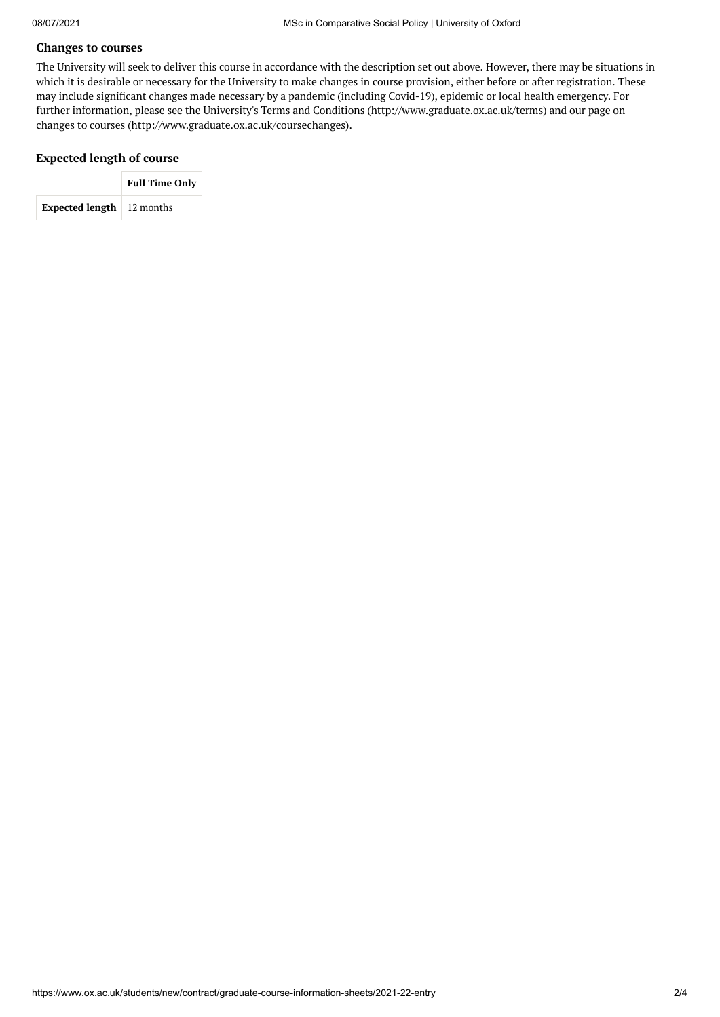## **Changes to courses**

The University will seek to deliver this course in accordance with the description set out above. However, there may be situations in which it is desirable or necessary for the University to make changes in course provision, either before or after registration. These may include significant changes made necessary by a pandemic (including Covid-19), epidemic or local health emergency. For further information, please see the University's Terms and Conditions (http://www.graduate.ox.ac.uk/terms) and our page on changes to courses (http://www.graduate.ox.ac.uk/coursechanges).

## **Expected length of course**

|                                         | <b>Full Time Only</b> |  |  |
|-----------------------------------------|-----------------------|--|--|
| <b>Expected length</b> $\mid$ 12 months |                       |  |  |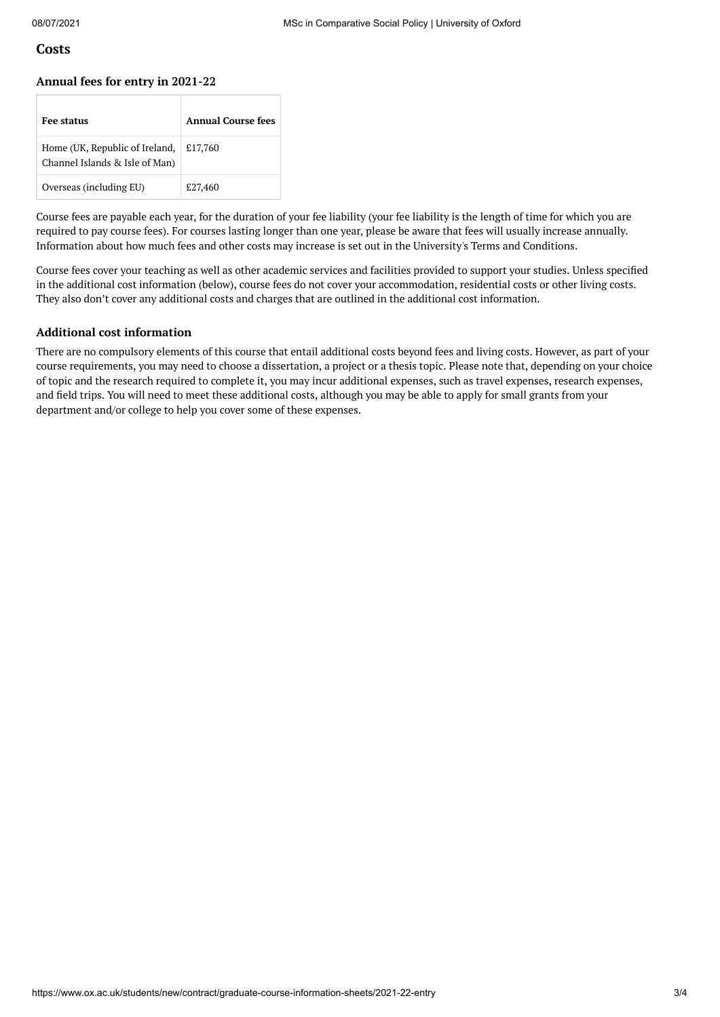## **Costs**

#### **Annual fees for entry in 2021-22**

| <b>Fee status</b>                                                | Annual Course fees |
|------------------------------------------------------------------|--------------------|
| Home (UK, Republic of Ireland,<br>Channel Islands & Isle of Man) | £17,760            |
| Overseas (including EU)                                          | £27,460            |

Course fees are payable each year, for the duration of your fee liability (your fee liability is the length of time for which you are required to pay course fees). For courses lasting longer than one year, please be aware that fees will usually increase annually. Information about how much fees and other costs may increase is set out in the University's Terms and Conditions.

Course fees cover your teaching as well as other academic services and facilities provided to support your studies. Unless specified in the additional cost information (below), course fees do not cover your accommodation, residential costs or other living costs. They also don't cover any additional costs and charges that are outlined in the additional cost information.

### **Additional cost information**

There are no compulsory elements of this course that entail additional costs beyond fees and living costs. However, as part of your course requirements, you may need to choose a dissertation, a project or a thesis topic. Please note that, depending on your choice of topic and the research required to complete it, you may incur additional expenses, such as travel expenses, research expenses, and field trips. You will need to meet these additional costs, although you may be able to apply for small grants from your department and/or college to help you cover some of these expenses.